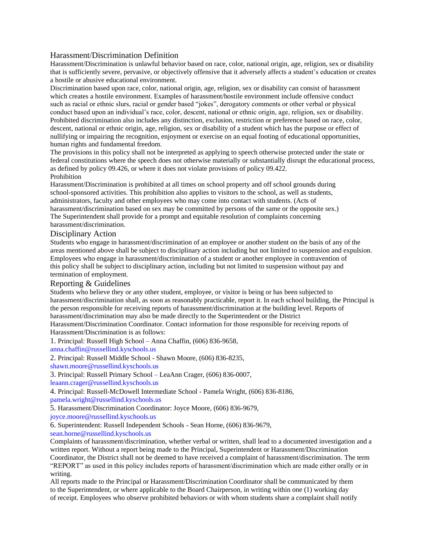# Harassment/Discrimination Definition

Harassment/Discrimination is unlawful behavior based on race, color, national origin, age, religion, sex or disability that is sufficiently severe, pervasive, or objectively offensive that it adversely affects a student's education or creates a hostile or abusive educational environment.

Discrimination based upon race, color, national origin, age, religion, sex or disability can consist of harassment which creates a hostile environment. Examples of harassment/hostile environment include offensive conduct such as racial or ethnic slurs, racial or gender based "jokes", derogatory comments or other verbal or physical conduct based upon an individual's race, color, descent, national or ethnic origin, age, religion, sex or disability. Prohibited discrimination also includes any distinction, exclusion, restriction or preference based on race, color, descent, national or ethnic origin, age, religion, sex or disability of a student which has the purpose or effect of nullifying or impairing the recognition, enjoyment or exercise on an equal footing of educational opportunities, human rights and fundamental freedom.

The provisions in this policy shall not be interpreted as applying to speech otherwise protected under the state or federal constitutions where the speech does not otherwise materially or substantially disrupt the educational process, as defined by policy 09.426, or where it does not violate provisions of policy 09.422. Prohibition

Harassment/Discrimination is prohibited at all times on school property and off school grounds during school-sponsored activities. This prohibition also applies to visitors to the school, as well as students, administrators, faculty and other employees who may come into contact with students. (Acts of harassment/discrimination based on sex may be committed by persons of the same or the opposite sex.) The Superintendent shall provide for a prompt and equitable resolution of complaints concerning harassment/discrimination.

### Disciplinary Action

Students who engage in harassment/discrimination of an employee or another student on the basis of any of the areas mentioned above shall be subject to disciplinary action including but not limited to suspension and expulsion. Employees who engage in harassment/discrimination of a student or another employee in contravention of this policy shall be subject to disciplinary action, including but not limited to suspension without pay and termination of employment.

# Reporting & Guidelines

Students who believe they or any other student, employee, or visitor is being or has been subjected to harassment/discrimination shall, as soon as reasonably practicable, report it. In each school building, the Principal is the person responsible for receiving reports of harassment/discrimination at the building level. Reports of harassment/discrimination may also be made directly to the Superintendent or the District

Harassment/Discrimination Coordinator. Contact information for those responsible for receiving reports of Harassment/Discrimination is as follows:

1. Principal: Russell High School – Anna Chaffin, (606) 836-9658,

anna.chaffin@russellind.kyschools.us

2. Principal: Russell Middle School - Shawn Moore, (606) 836-8235,

shawn.moore@russellind.kyschools.us

3. Principal: Russell Primary School – LeaAnn Crager, (606) 836-0007,

leaann.crager@russellind.kyschools.us

4. Principal: Russell-McDowell Intermediate School - Pamela Wright, (606) 836-8186,

pamela.wright@russellind.kyschools.us

5. Harassment/Discrimination Coordinator: Joyce Moore, (606) 836-9679,

joyce.moore@russellind.kyschools.us

6. Superintendent: Russell Independent Schools - Sean Horne, (606) 836-9679,

sean.horne@russellind.kyschools.us

Complaints of harassment/discrimination, whether verbal or written, shall lead to a documented investigation and a written report. Without a report being made to the Principal, Superintendent or Harassment/Discrimination Coordinator, the District shall not be deemed to have received a complaint of harassment/discrimination. The term "REPORT" as used in this policy includes reports of harassment/discrimination which are made either orally or in writing.

All reports made to the Principal or Harassment/Discrimination Coordinator shall be communicated by them to the Superintendent, or where applicable to the Board Chairperson, in writing within one (1) working day of receipt. Employees who observe prohibited behaviors or with whom students share a complaint shall notify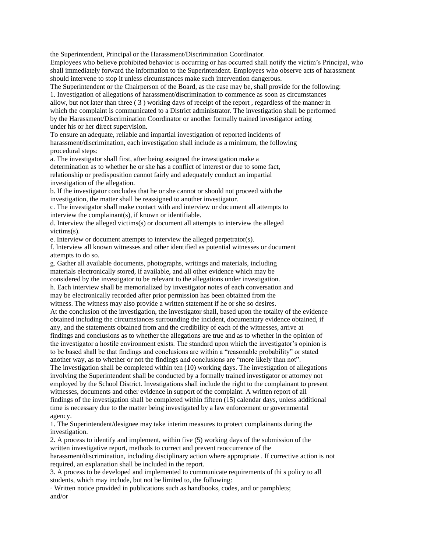the Superintendent, Principal or the Harassment/Discrimination Coordinator.

Employees who believe prohibited behavior is occurring or has occurred shall notify the victim's Principal, who shall immediately forward the information to the Superintendent. Employees who observe acts of harassment should intervene to stop it unless circumstances make such intervention dangerous.

The Superintendent or the Chairperson of the Board, as the case may be, shall provide for the following: 1. Investigation of allegations of harassment/discrimination to commence as soon as circumstances allow, but not later than three ( 3 ) working days of receipt of the report , regardless of the manner in which the complaint is communicated to a District administrator. The investigation shall be performed by the Harassment/Discrimination Coordinator or another formally trained investigator acting under his or her direct supervision.

To ensure an adequate, reliable and impartial investigation of reported incidents of harassment/discrimination, each investigation shall include as a minimum, the following procedural steps:

a. The investigator shall first, after being assigned the investigation make a determination as to whether he or she has a conflict of interest or due to some fact, relationship or predisposition cannot fairly and adequately conduct an impartial investigation of the allegation.

b. If the investigator concludes that he or she cannot or should not proceed with the investigation, the matter shall be reassigned to another investigator.

c. The investigator shall make contact with and interview or document all attempts to interview the complainant(s), if known or identifiable.

d. Interview the alleged victims(s) or document all attempts to interview the alleged victims(s).

e. Interview or document attempts to interview the alleged perpetrator(s).

f. Interview all known witnesses and other identified as potential witnesses or document attempts to do so.

g. Gather all available documents, photographs, writings and materials, including materials electronically stored, if available, and all other evidence which may be considered by the investigator to be relevant to the allegations under investigation. h. Each interview shall be memorialized by investigator notes of each conversation and may be electronically recorded after prior permission has been obtained from the witness. The witness may also provide a written statement if he or she so desires. At the conclusion of the investigation, the investigator shall, based upon the totality of the evidence obtained including the circumstances surrounding the incident, documentary evidence obtained, if any, and the statements obtained from and the credibility of each of the witnesses, arrive at findings and conclusions as to whether the allegations are true and as to whether in the opinion of the investigator a hostile environment exists. The standard upon which the investigator's opinion is to be based shall be that findings and conclusions are within a "reasonable probability" or stated another way, as to whether or not the findings and conclusions are "more likely than not". The investigation shall be completed within ten (10) working days. The investigation of allegations involving the Superintendent shall be conducted by a formally trained investigator or attorney not employed by the School District. Investigations shall include the right to the complainant to present witnesses, documents and other evidence in support of the complaint. A written report of all findings of the investigation shall be completed within fifteen (15) calendar days, unless additional time is necessary due to the matter being investigated by a law enforcement or governmental agency.

1. The Superintendent/designee may take interim measures to protect complainants during the investigation.

2. A process to identify and implement, within five (5) working days of the submission of the written investigative report, methods to correct and prevent reoccurrence of the harassment/discrimination, including disciplinary action where appropriate . If corrective action is not required, an explanation shall be included in the report.

3. A process to be developed and implemented to communicate requirements of thi s policy to all students, which may include, but not be limited to, the following:

· Written notice provided in publications such as handbooks, codes, and or pamphlets; and/or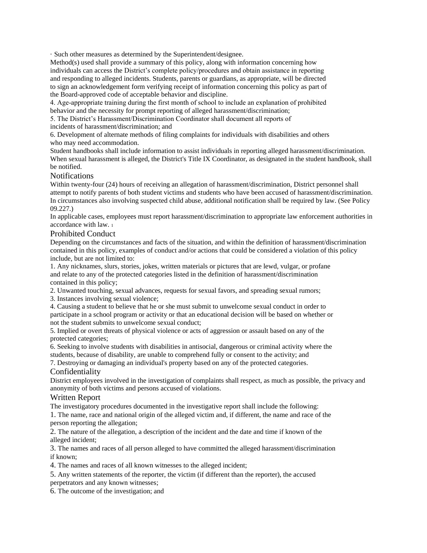· Such other measures as determined by the Superintendent/designee.

Method(s) used shall provide a summary of this policy, along with information concerning how individuals can access the District's complete policy/procedures and obtain assistance in reporting and responding to alleged incidents. Students, parents or guardians, as appropriate, will be directed to sign an acknowledgement form verifying receipt of information concerning this policy as part of the Board-approved code of acceptable behavior and discipline.

4. Age‑appropriate training during the first month of school to include an explanation of prohibited behavior and the necessity for prompt reporting of alleged harassment/discrimination;

5. The District's Harassment/Discrimination Coordinator shall document all reports of incidents of harassment/discrimination; and

6. Development of alternate methods of filing complaints for individuals with disabilities and others who may need accommodation.

Student handbooks shall include information to assist individuals in reporting alleged harassment/discrimination. When sexual harassment is alleged, the District's Title IX Coordinator, as designated in the student handbook, shall be notified.

# **Notifications**

Within twenty-four (24) hours of receiving an allegation of harassment/discrimination, District personnel shall attempt to notify parents of both student victims and students who have been accused of harassment/discrimination. In circumstances also involving suspected child abuse, additional notification shall be required by law. (See Policy 09.227.)

In applicable cases, employees must report harassment/discrimination to appropriate law enforcement authorities in accordance with law. <sup>1</sup>

### Prohibited Conduct

Depending on the circumstances and facts of the situation, and within the definition of harassment/discrimination contained in this policy, examples of conduct and/or actions that could be considered a violation of this policy include, but are not limited to:

1. Any nicknames, slurs, stories, jokes, written materials or pictures that are lewd, vulgar, or profane and relate to any of the protected categories listed in the definition of harassment/discrimination contained in this policy;

2. Unwanted touching, sexual advances, requests for sexual favors, and spreading sexual rumors;

3. Instances involving sexual violence;

4. Causing a student to believe that he or she must submit to unwelcome sexual conduct in order to participate in a school program or activity or that an educational decision will be based on whether or not the student submits to unwelcome sexual conduct;

5. Implied or overt threats of physical violence or acts of aggression or assault based on any of the protected categories;

6. Seeking to involve students with disabilities in antisocial, dangerous or criminal activity where the students, because of disability, are unable to comprehend fully or consent to the activity; and

7. Destroying or damaging an individual's property based on any of the protected categories.

# Confidentiality

District employees involved in the investigation of complaints shall respect, as much as possible, the privacy and anonymity of both victims and persons accused of violations.

# Written Report

The investigatory procedures documented in the investigative report shall include the following:

1. The name, race and national origin of the alleged victim and, if different, the name and race of the person reporting the allegation;

2. The nature of the allegation, a description of the incident and the date and time if known of the alleged incident;

3. The names and races of all person alleged to have committed the alleged harassment/discrimination if known;

4. The names and races of all known witnesses to the alleged incident;

5. Any written statements of the reporter, the victim (if different than the reporter), the accused

perpetrators and any known witnesses;

6. The outcome of the investigation; and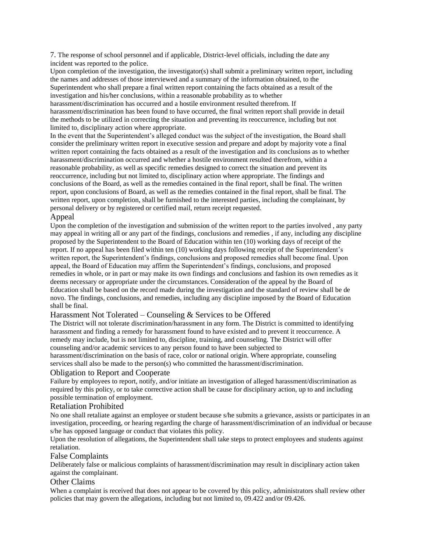7. The response of school personnel and if applicable, District-level officials, including the date any incident was reported to the police.

Upon completion of the investigation, the investigator(s) shall submit a preliminary written report, including the names and addresses of those interviewed and a summary of the information obtained, to the Superintendent who shall prepare a final written report containing the facts obtained as a result of the investigation and his/her conclusions, within a reasonable probability as to whether

harassment/discrimination has occurred and a hostile environment resulted therefrom. If harassment/discrimination has been found to have occurred, the final written report shall provide in detail the methods to be utilized in correcting the situation and preventing its reoccurrence, including but not limited to, disciplinary action where appropriate.

In the event that the Superintendent's alleged conduct was the subject of the investigation, the Board shall consider the preliminary written report in executive session and prepare and adopt by majority vote a final written report containing the facts obtained as a result of the investigation and its conclusions as to whether harassment/discrimination occurred and whether a hostile environment resulted therefrom, within a reasonable probability, as well as specific remedies designed to correct the situation and prevent its reoccurrence, including but not limited to, disciplinary action where appropriate. The findings and conclusions of the Board, as well as the remedies contained in the final report, shall be final. The written report, upon conclusions of Board, as well as the remedies contained in the final report, shall be final. The written report, upon completion, shall be furnished to the interested parties, including the complainant, by personal delivery or by registered or certified mail, return receipt requested.

### **Appeal**

Upon the completion of the investigation and submission of the written report to the parties involved , any party may appeal in writing all or any part of the findings, conclusions and remedies , if any, including any discipline proposed by the Superintendent to the Board of Education within ten (10) working days of receipt of the report. If no appeal has been filed within ten (10) working days following receipt of the Superintendent's written report, the Superintendent's findings, conclusions and proposed remedies shall become final. Upon appeal, the Board of Education may affirm the Superintendent's findings, conclusions, and proposed remedies in whole, or in part or may make its own findings and conclusions and fashion its own remedies as it deems necessary or appropriate under the circumstances. Consideration of the appeal by the Board of Education shall be based on the record made during the investigation and the standard of review shall be de novo. The findings, conclusions, and remedies, including any discipline imposed by the Board of Education shall be final.

### Harassment Not Tolerated – Counseling & Services to be Offered

The District will not tolerate discrimination/harassment in any form. The District is committed to identifying harassment and finding a remedy for harassment found to have existed and to prevent it reoccurrence. A remedy may include, but is not limited to, discipline, training, and counseling. The District will offer counseling and/or academic services to any person found to have been subjected to harassment/discrimination on the basis of race, color or national origin. Where appropriate, counseling services shall also be made to the person(s) who committed the harassment/discrimination.

### Obligation to Report and Cooperate

Failure by employees to report, notify, and/or initiate an investigation of alleged harassment/discrimination as required by this policy, or to take corrective action shall be cause for disciplinary action, up to and including possible termination of employment.

### Retaliation Prohibited

No one shall retaliate against an employee or student because s/he submits a grievance, assists or participates in an investigation, proceeding, or hearing regarding the charge of harassment/discrimination of an individual or because s/he has opposed language or conduct that violates this policy.

Upon the resolution of allegations, the Superintendent shall take steps to protect employees and students against retaliation.

#### False Complaints

Deliberately false or malicious complaints of harassment/discrimination may result in disciplinary action taken against the complainant.

#### Other Claims

When a complaint is received that does not appear to be covered by this policy, administrators shall review other policies that may govern the allegations, including but not limited to, 09.422 and/or 09.426.